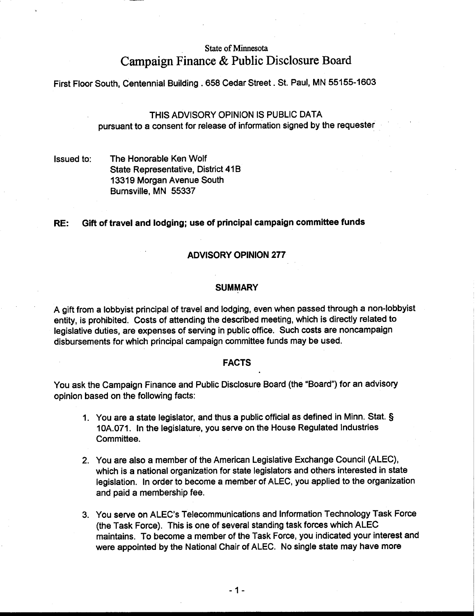# **State of Minnesota Campaign Finance** & **Public Disclosure Board**

First Floor South, Centennial Building .658 Cedar Street. St. Paul, MN 55155-1603

THIS ADVISORY OPINION IS PUBLIC DATA pursuant to a consent for release of information signed by the requester

Issued to: The Honorable Ken Wolf State Representative, District 41B 13319 Morgan Avenue South Burnsville, MN 55337

# **RE:** Gift of travel and lodging; use of principal campaign committee funds

# ADVISORY OPINION 277

#### **SUMMARY**

A gift from a lobbyist principal of travel and lodging, even when passed through a non-lobbyist entity, is prohibited. Costs of attending the described meeting, which is directly related to legislative duties, are expenses of serving in public office. Such costs are noncampaign disbursements for which principal campaign committee funds may be used.

## FACTS

You ask the Campaign Finance and Public Disclosure Board (the "Board") for an advisory opinion based on the following facts:

- 1. You are a state legislator, and thus a public official as defined in Minn. Stat. § 10A.071. In the legislature, you serve on the House Regulated Industries Committee.
- 2. You are also a member of the American Legislative Exchange Council (ALEC), which is a national organization for state legislators and others interested in state legislation. In order to become a member of ALEC, you applied to the organization and paid a membership fee.
- 3. You serve on ALEC's Telecommunications and Information Technology Task Force (the Task Force). This is one of several standing task forces which ALEC maintains. To become a member of the Task Force, you indicated your interest and were appointed by the National Chair of ALEC. No single state may have more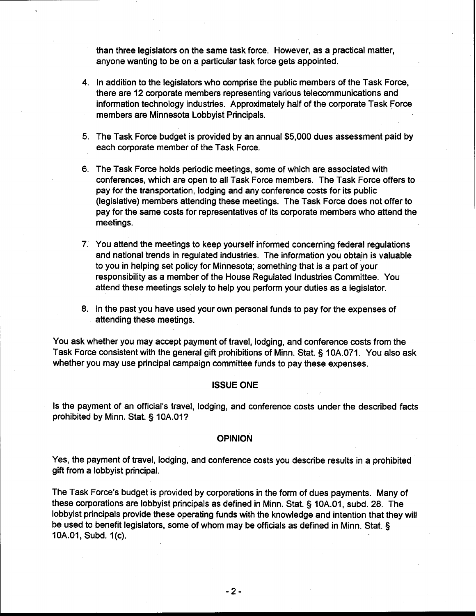than three legislators on the same task force. However, as a practical matter, anyone wanting to be on a particular task force gets appointed.

- 4. In addition to the legislators who comprise the public members of the Task Force, there are 12 corporate members representing various telecommunications and information technology industries. Approximately half of the corporate Task Force members are Minnesota Lobbyist Principals.
- 5. The Task Force budget is provided by an annual \$5,000 dues assessment paid by each corporate member of the Task Force.
- 6. The Task Force holds periodic meetings, some of which are.associated with conferences, which are open to all Task Force members. The Task Force offers to pay for the transportation, lodging and any conference costs for its public (legislative) members attending these meetings. The Task Force does not offer to pay for the same costs for representatives of its corporate members who attend the meetings.
- 7. You attend the meetings to keep yourself informed concerning federal regulations and national trends in regulated industries. The information you obtain is valuable to you in helping set policy for Minnesota; something that is a part of your responsibility as a member of the House Regulated Industries Committee. You attend these meetings solely to help you perform your duties as a legislator.
- 8. In the past you have used your own personal funds to pay for the expenses of attending these meetings.

You ask whether you may accept payment of travel, lodging, and conference costs from the Task Force consistent with the general gift prohibitions of Minn. Stat. § 10A.071. You also ask whether you may use principal campaign committee funds to pay these expenses.

#### **ISSUE ONE**

Is the payment of an official's travel, lodging, and conference costs under the described facts prohibited by Minn. Stat. § 10A.01?

### **OPINION**

Yes, the payment of travel, lodging, and conference costs you describe results in a prohibited gift from a lobbyist principal.

The Task Force's budget is provided by corporations in the form of dues payments. Many of these corporations are lobbyist principals as defined in Minn. Stat. § 10A.01, subd. 28. The lobbyist principals provide these operating funds with the knowledge and intention that they will be used to benefit legislators, some of whom may be officials as defined in Minn. Stat. § 10A.O1, Subd. I (c).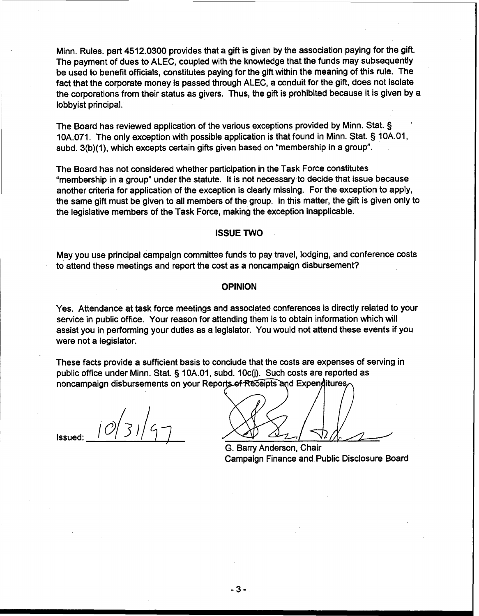Minn. Rules. part 4512.0300 provides that a gift is given by the association paying for the gift. The payment of dues to ALEC, coupled with the knowledge that the funds may subsequently be used to benefit officials, constitutes paying for the gift within the meaning of this rule. The fact that the corporate money is passed through ALEC, a conduit for the gift, does not isolate the corporations from their status as givers. Thus, the gift is prohibited because it is given by a lobbyist principal.

The Board has reviewed application of the various exceptions provided by Minn. Stat. § 10A.071. The only exception with possible application is that found in Minn. Stat. 5 10A.O1, subd. 3(b)(1), which excepts certain gifts given based on "membership in a group".

The Board has not considered whether participation in the Task Force constitutes "membership in a group" under the statute. It is not necessary to decide that issue because another criteria for application of the exception is clearly missing. For the exception to apply, the same gift must be given to all members of the group. In this matter, the gift is given only to the legislative members of the Task Force, making the exception inapplicable.

# ISSUE TWO

May you use principal campaign committee funds to pay travel, lodging, and conference costs to attend these meetings and report the cost as a noncampaign disbursement?

#### OPINION

Yes. Attendance at task force meetings and associated conferences is directly related to your service in public office. Your reason for attending them is to obtain information which will assist you in performing your duties as a legislator. You would not attend these events if you were not a legislator.

These facts provide a sufficient basis to conclude that the costs are expenses of serving in public office under Minn. Stat. § 10A.01, subd. 10c(j). Such costs are reported as noncampaign disbursements on your Reports of Receipts and Expenditures.

 $10|31|4$ Issued:

G. Barry Anderson, Chair Campaign Finance and Public Disclosure Board